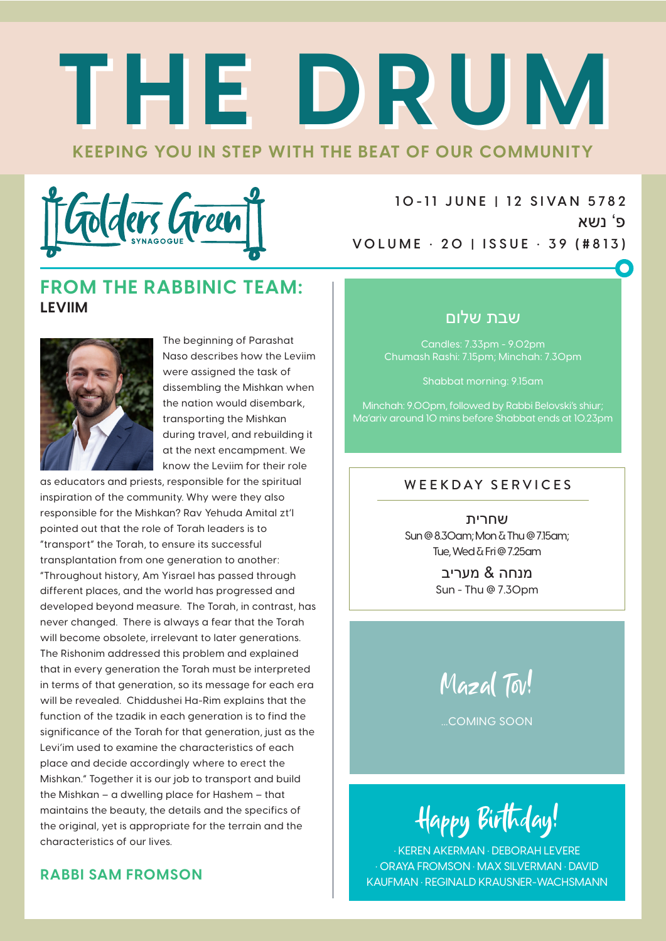# **KEEPING YOU IN STEP WITH THE BEAT OF OUR COMMUNITY THE DRUM THE DRUM**



**1 0 -1 1 J U N E | 1 2 S I VA N 5 78 2** פ' נשא **VOLUME • 20 | ISSUE • 39 (#813)**

### **FROM THE RABBINIC TEAM: LEVIIM**



The beginning of Parashat Naso describes how the Leviim were assigned the task of dissembling the Mishkan when the nation would disembark, transporting the Mishkan during travel, and rebuilding it at the next encampment. We know the Leviim for their role

as educators and priests, responsible for the spiritual inspiration of the community. Why were they also responsible for the Mishkan? Rav Yehuda Amital zt'l pointed out that the role of Torah leaders is to "transport" the Torah, to ensure its successful transplantation from one generation to another: "Throughout history, Am Yisrael has passed through different places, and the world has progressed and developed beyond measure. The Torah, in contrast, has never changed. There is always a fear that the Torah will become obsolete, irrelevant to later generations. The Rishonim addressed this problem and explained that in every generation the Torah must be interpreted in terms of that generation, so its message for each era will be revealed. Chiddushei Ha-Rim explains that the function of the tzadik in each generation is to find the significance of the Torah for that generation, just as the Levi'im used to examine the characteristics of each place and decide accordingly where to erect the Mishkan." Together it is our job to transport and build the Mishkan – a dwelling place for Hashem – that maintains the beauty, the details and the specifics of the original, yet is appropriate for the terrain and the characteristics of our lives.

### **RABBI SAM FROMSON**

### שבת שלום

Candles: 7.33pm - 9.02pm Chumash Rashi: 7.15pm; Minchah: 7.30pm

Shabbat morning: 9.15am

Minchah: 9.00pm, followed by Rabbi Belovski's shiur; Ma'ariv around 10 mins before Shabbat ends at 10.23pm

### WEEKDAY SERVICES

שחרית Sun @ 8.30am; Mon & Thu @ 7.15am; Tue, Wed & Fri @ 7.25am

> מנחה & מעריב Sun - Thu @ 7.30pm



...COMING SOON

Happy Birthday!

• KEREN AKERMAN • DEBORAH LEVERE • ORAYA FROMSON • MAX SILVERMAN • DAVID KAUFMAN • REGINALD KRAUSNER-WACHSMANN